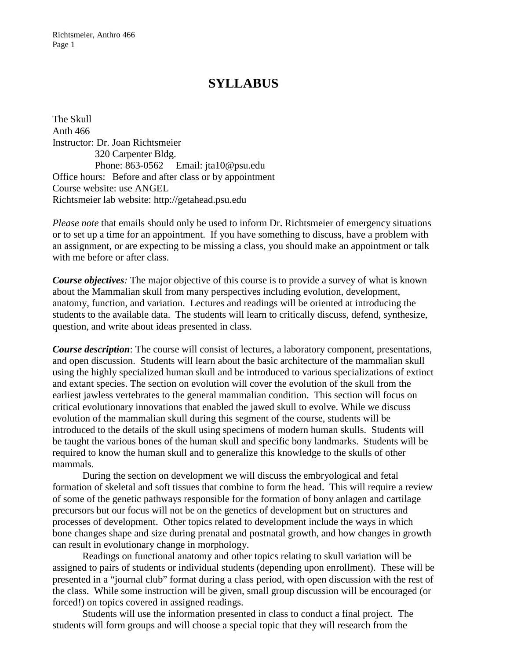## **SYLLABUS**

The Skull Anth 466 Instructor: Dr. Joan Richtsmeier 320 Carpenter Bldg. Phone: 863-0562 Email: jta10@psu.edu Office hours: Before and after class or by appointment Course website: use ANGEL Richtsmeier lab website: http://getahead.psu.edu

*Please note* that emails should only be used to inform Dr. Richtsmeier of emergency situations or to set up a time for an appointment. If you have something to discuss, have a problem with an assignment, or are expecting to be missing a class, you should make an appointment or talk with me before or after class.

*Course objectives:* The major objective of this course is to provide a survey of what is known about the Mammalian skull from many perspectives including evolution, development, anatomy, function, and variation. Lectures and readings will be oriented at introducing the students to the available data. The students will learn to critically discuss, defend, synthesize, question, and write about ideas presented in class.

*Course description*: The course will consist of lectures, a laboratory component, presentations, and open discussion. Students will learn about the basic architecture of the mammalian skull using the highly specialized human skull and be introduced to various specializations of extinct and extant species. The section on evolution will cover the evolution of the skull from the earliest jawless vertebrates to the general mammalian condition. This section will focus on critical evolutionary innovations that enabled the jawed skull to evolve. While we discuss evolution of the mammalian skull during this segment of the course, students will be introduced to the details of the skull using specimens of modern human skulls. Students will be taught the various bones of the human skull and specific bony landmarks. Students will be required to know the human skull and to generalize this knowledge to the skulls of other mammals.

During the section on development we will discuss the embryological and fetal formation of skeletal and soft tissues that combine to form the head. This will require a review of some of the genetic pathways responsible for the formation of bony anlagen and cartilage precursors but our focus will not be on the genetics of development but on structures and processes of development. Other topics related to development include the ways in which bone changes shape and size during prenatal and postnatal growth, and how changes in growth can result in evolutionary change in morphology.

Readings on functional anatomy and other topics relating to skull variation will be assigned to pairs of students or individual students (depending upon enrollment). These will be presented in a "journal club" format during a class period, with open discussion with the rest of the class. While some instruction will be given, small group discussion will be encouraged (or forced!) on topics covered in assigned readings.

Students will use the information presented in class to conduct a final project. The students will form groups and will choose a special topic that they will research from the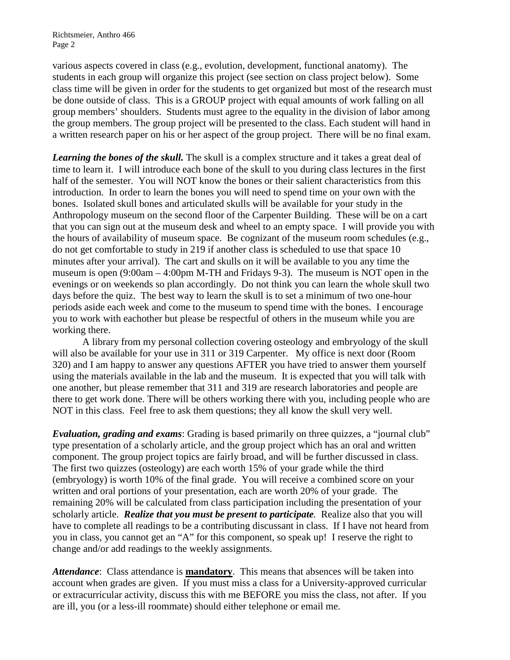Richtsmeier, Anthro 466 Page 2

various aspects covered in class (e.g., evolution, development, functional anatomy). The students in each group will organize this project (see section on class project below). Some class time will be given in order for the students to get organized but most of the research must be done outside of class. This is a GROUP project with equal amounts of work falling on all group members' shoulders. Students must agree to the equality in the division of labor among the group members. The group project will be presented to the class. Each student will hand in a written research paper on his or her aspect of the group project. There will be no final exam.

*Learning the bones of the skull.* The skull is a complex structure and it takes a great deal of time to learn it. I will introduce each bone of the skull to you during class lectures in the first half of the semester. You will NOT know the bones or their salient characteristics from this introduction. In order to learn the bones you will need to spend time on your own with the bones. Isolated skull bones and articulated skulls will be available for your study in the Anthropology museum on the second floor of the Carpenter Building. These will be on a cart that you can sign out at the museum desk and wheel to an empty space. I will provide you with the hours of availability of museum space. Be cognizant of the museum room schedules (e.g., do not get comfortable to study in 219 if another class is scheduled to use that space 10 minutes after your arrival). The cart and skulls on it will be available to you any time the museum is open (9:00am – 4:00pm M-TH and Fridays 9-3). The museum is NOT open in the evenings or on weekends so plan accordingly. Do not think you can learn the whole skull two days before the quiz. The best way to learn the skull is to set a minimum of two one-hour periods aside each week and come to the museum to spend time with the bones. I encourage you to work with eachother but please be respectful of others in the museum while you are working there.

A library from my personal collection covering osteology and embryology of the skull will also be available for your use in 311 or 319 Carpenter. My office is next door (Room 320) and I am happy to answer any questions AFTER you have tried to answer them yourself using the materials available in the lab and the museum. It is expected that you will talk with one another, but please remember that 311 and 319 are research laboratories and people are there to get work done. There will be others working there with you, including people who are NOT in this class. Feel free to ask them questions; they all know the skull very well.

*Evaluation, grading and exams*: Grading is based primarily on three quizzes, a "journal club" type presentation of a scholarly article, and the group project which has an oral and written component. The group project topics are fairly broad, and will be further discussed in class. The first two quizzes (osteology) are each worth 15% of your grade while the third (embryology) is worth 10% of the final grade. You will receive a combined score on your written and oral portions of your presentation, each are worth 20% of your grade. The remaining 20% will be calculated from class participation including the presentation of your scholarly article. *Realize that you must be present to participate.* Realize also that you will have to complete all readings to be a contributing discussant in class. If I have not heard from you in class, you cannot get an "A" for this component, so speak up! I reserve the right to change and/or add readings to the weekly assignments.

*Attendance*: Class attendance is **mandatory**. This means that absences will be taken into account when grades are given. If you must miss a class for a University-approved curricular or extracurricular activity, discuss this with me BEFORE you miss the class, not after. If you are ill, you (or a less-ill roommate) should either telephone or email me.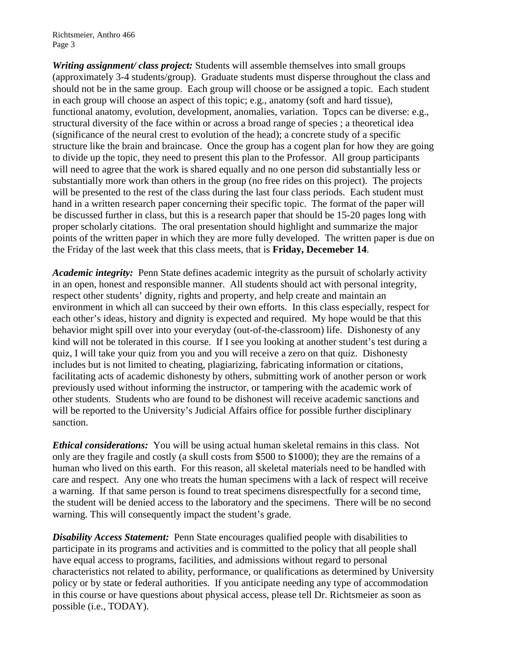Richtsmeier, Anthro 466 Page 3

*Writing assignment/ class project:* Students will assemble themselves into small groups (approximately 3-4 students/group). Graduate students must disperse throughout the class and should not be in the same group. Each group will choose or be assigned a topic. Each student in each group will choose an aspect of this topic; e.g., anatomy (soft and hard tissue), functional anatomy, evolution, development, anomalies, variation. Topcs can be diverse: e.g., structural diversity of the face within or across a broad range of species ; a theoretical idea (significance of the neural crest to evolution of the head); a concrete study of a specific structure like the brain and braincase. Once the group has a cogent plan for how they are going to divide up the topic, they need to present this plan to the Professor. All group participants will need to agree that the work is shared equally and no one person did substantially less or substantially more work than others in the group (no free rides on this project). The projects will be presented to the rest of the class during the last four class periods. Each student must hand in a written research paper concerning their specific topic. The format of the paper will be discussed further in class, but this is a research paper that should be 15-20 pages long with proper scholarly citations. The oral presentation should highlight and summarize the major points of the written paper in which they are more fully developed. The written paper is due on the Friday of the last week that this class meets, that is **Friday, Decemeber 14**.

*Academic integrity:* Penn State defines academic integrity as the pursuit of scholarly activity in an open, honest and responsible manner. All students should act with personal integrity, respect other students' dignity, rights and property, and help create and maintain an environment in which all can succeed by their own efforts. In this class especially, respect for each other's ideas, history and dignity is expected and required. My hope would be that this behavior might spill over into your everyday (out-of-the-classroom) life. Dishonesty of any kind will not be tolerated in this course. If I see you looking at another student's test during a quiz, I will take your quiz from you and you will receive a zero on that quiz. Dishonesty includes but is not limited to cheating, plagiarizing, fabricating information or citations, facilitating acts of academic dishonesty by others, submitting work of another person or work previously used without informing the instructor, or tampering with the academic work of other students. Students who are found to be dishonest will receive academic sanctions and will be reported to the University's Judicial Affairs office for possible further disciplinary sanction.

*Ethical considerations:* You will be using actual human skeletal remains in this class. Not only are they fragile and costly (a skull costs from \$500 to \$1000); they are the remains of a human who lived on this earth. For this reason, all skeletal materials need to be handled with care and respect. Any one who treats the human specimens with a lack of respect will receive a warning. If that same person is found to treat specimens disrespectfully for a second time, the student will be denied access to the laboratory and the specimens. There will be no second warning. This will consequently impact the student's grade.

**Disability Access Statement:** Penn State encourages qualified people with disabilities to participate in its programs and activities and is committed to the policy that all people shall have equal access to programs, facilities, and admissions without regard to personal characteristics not related to ability, performance, or qualifications as determined by University policy or by state or federal authorities. If you anticipate needing any type of accommodation in this course or have questions about physical access, please tell Dr. Richtsmeier as soon as possible (i.e., TODAY).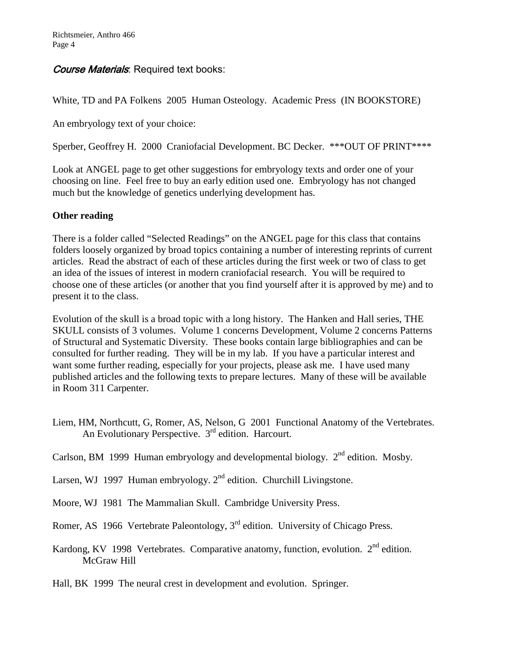## Course Materials: Required text books:

White, TD and PA Folkens 2005 Human Osteology. Academic Press (IN BOOKSTORE)

An embryology text of your choice:

Sperber, Geoffrey H. 2000 Craniofacial Development. BC Decker. \*\*\*OUT OF PRINT\*\*\*\*

Look at ANGEL page to get other suggestions for embryology texts and order one of your choosing on line. Feel free to buy an early edition used one. Embryology has not changed much but the knowledge of genetics underlying development has.

## **Other reading**

There is a folder called "Selected Readings" on the ANGEL page for this class that contains folders loosely organized by broad topics containing a number of interesting reprints of current articles. Read the abstract of each of these articles during the first week or two of class to get an idea of the issues of interest in modern craniofacial research. You will be required to choose one of these articles (or another that you find yourself after it is approved by me) and to present it to the class.

Evolution of the skull is a broad topic with a long history. The Hanken and Hall series, THE SKULL consists of 3 volumes. Volume 1 concerns Development, Volume 2 concerns Patterns of Structural and Systematic Diversity. These books contain large bibliographies and can be consulted for further reading. They will be in my lab. If you have a particular interest and want some further reading, especially for your projects, please ask me. I have used many published articles and the following texts to prepare lectures. Many of these will be available in Room 311 Carpenter.

- Liem, HM, Northcutt, G, Romer, AS, Nelson, G 2001 Functional Anatomy of the Vertebrates. An Evolutionary Perspective. 3rd edition. Harcourt.
- Carlson, BM 1999 Human embryology and developmental biology.  $2<sup>nd</sup>$  edition. Mosby.
- Larsen, WJ 1997 Human embryology.  $2<sup>nd</sup>$  edition. Churchill Livingstone.
- Moore, WJ 1981 The Mammalian Skull. Cambridge University Press.
- Romer, AS 1966 Vertebrate Paleontology, 3<sup>rd</sup> edition. University of Chicago Press.
- Kardong, KV 1998 Vertebrates. Comparative anatomy, function, evolution. 2<sup>nd</sup> edition. McGraw Hill

Hall, BK 1999 The neural crest in development and evolution. Springer.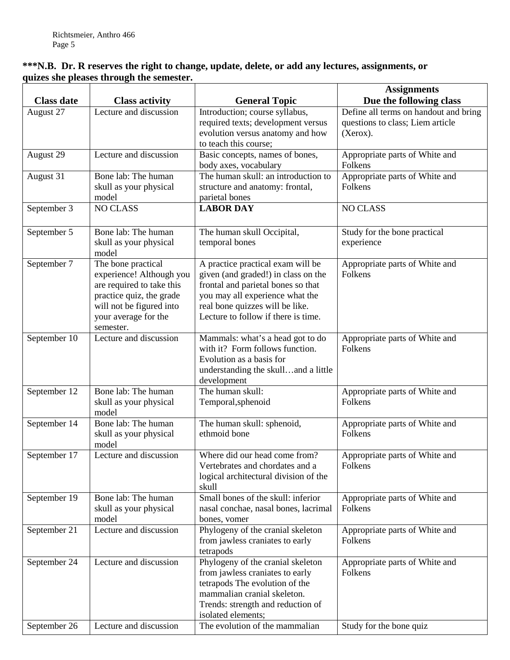## **\*\*\*N.B. Dr. R reserves the right to change, update, delete, or add any lectures, assignments, or quizes she pleases through the semester.**

|                   |                                                                                                                                                                          |                                                                                                                                                                                                                                    | <b>Assignments</b>                                                                    |
|-------------------|--------------------------------------------------------------------------------------------------------------------------------------------------------------------------|------------------------------------------------------------------------------------------------------------------------------------------------------------------------------------------------------------------------------------|---------------------------------------------------------------------------------------|
| <b>Class date</b> | <b>Class activity</b>                                                                                                                                                    | <b>General Topic</b>                                                                                                                                                                                                               | Due the following class                                                               |
| August 27         | Lecture and discussion                                                                                                                                                   | Introduction; course syllabus,<br>required texts; development versus<br>evolution versus anatomy and how<br>to teach this course;                                                                                                  | Define all terms on handout and bring<br>questions to class; Liem article<br>(Xerox). |
| August 29         | Lecture and discussion                                                                                                                                                   | Basic concepts, names of bones,<br>body axes, vocabulary                                                                                                                                                                           | Appropriate parts of White and<br>Folkens                                             |
| August 31         | Bone lab: The human<br>skull as your physical<br>model                                                                                                                   | The human skull: an introduction to<br>structure and anatomy: frontal,<br>parietal bones                                                                                                                                           | Appropriate parts of White and<br>Folkens                                             |
| September 3       | <b>NO CLASS</b>                                                                                                                                                          | <b>LABOR DAY</b>                                                                                                                                                                                                                   | <b>NO CLASS</b>                                                                       |
| September 5       | Bone lab: The human<br>skull as your physical<br>model                                                                                                                   | The human skull Occipital,<br>temporal bones                                                                                                                                                                                       | Study for the bone practical<br>experience                                            |
| September 7       | The bone practical<br>experience! Although you<br>are required to take this<br>practice quiz, the grade<br>will not be figured into<br>your average for the<br>semester. | A practice practical exam will be<br>given (and graded!) in class on the<br>frontal and parietal bones so that<br>you may all experience what the<br>real bone quizzes will be like.<br>Lecture to follow if there is time.        | Appropriate parts of White and<br>Folkens                                             |
| September 10      | Lecture and discussion                                                                                                                                                   | Mammals: what's a head got to do<br>with it? Form follows function.<br>Evolution as a basis for<br>understanding the skulland a little<br>development                                                                              | Appropriate parts of White and<br>Folkens                                             |
| September 12      | Bone lab: The human<br>skull as your physical<br>model                                                                                                                   | The human skull:<br>Temporal, sphenoid                                                                                                                                                                                             | Appropriate parts of White and<br>Folkens                                             |
| September 14      | Bone lab: The human<br>skull as your physical<br>model                                                                                                                   | The human skull: sphenoid,<br>ethmoid bone                                                                                                                                                                                         | Appropriate parts of White and<br>Folkens                                             |
| September 17      | Lecture and discussion                                                                                                                                                   | Where did our head come from?<br>Vertebrates and chordates and a<br>logical architectural division of the<br>skull                                                                                                                 | Appropriate parts of White and<br>Folkens                                             |
| September 19      | Bone lab: The human<br>skull as your physical<br>model                                                                                                                   | Small bones of the skull: inferior<br>nasal conchae, nasal bones, lacrimal<br>bones, vomer                                                                                                                                         | Appropriate parts of White and<br>Folkens                                             |
| September 21      | Lecture and discussion                                                                                                                                                   | Phylogeny of the cranial skeleton<br>from jawless craniates to early<br>tetrapods                                                                                                                                                  | Appropriate parts of White and<br>Folkens                                             |
| September 24      | Lecture and discussion<br>Lecture and discussion                                                                                                                         | Phylogeny of the cranial skeleton<br>from jawless craniates to early<br>tetrapods The evolution of the<br>mammalian cranial skeleton.<br>Trends: strength and reduction of<br>isolated elements;<br>The evolution of the mammalian | Appropriate parts of White and<br>Folkens                                             |
| September 26      |                                                                                                                                                                          |                                                                                                                                                                                                                                    | Study for the bone quiz                                                               |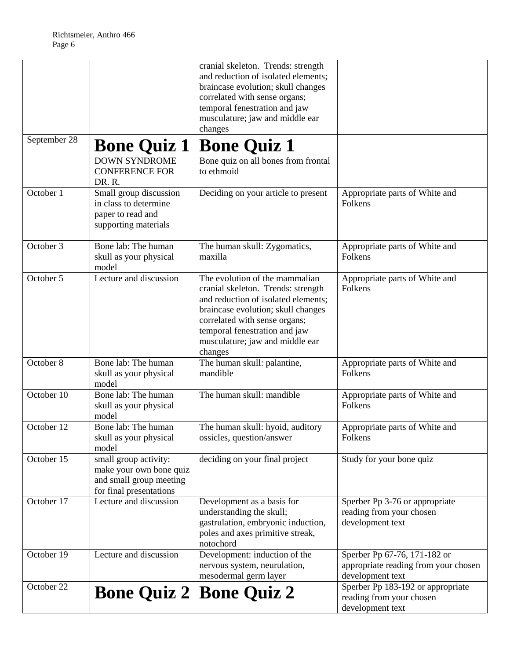|              |                                                                                                        | cranial skeleton. Trends: strength<br>and reduction of isolated elements;<br>braincase evolution; skull changes<br>correlated with sense organs;<br>temporal fenestration and jaw<br>musculature; jaw and middle ear<br>changes                                   |                                                                                          |
|--------------|--------------------------------------------------------------------------------------------------------|-------------------------------------------------------------------------------------------------------------------------------------------------------------------------------------------------------------------------------------------------------------------|------------------------------------------------------------------------------------------|
| September 28 | <b>Bone Quiz 1</b>                                                                                     | <b>Bone Quiz 1</b>                                                                                                                                                                                                                                                |                                                                                          |
|              | <b>DOWN SYNDROME</b><br><b>CONFERENCE FOR</b><br>DR.R.                                                 | Bone quiz on all bones from frontal<br>to ethmoid                                                                                                                                                                                                                 |                                                                                          |
| October 1    | Small group discussion<br>in class to determine<br>paper to read and<br>supporting materials           | Deciding on your article to present                                                                                                                                                                                                                               | Appropriate parts of White and<br>Folkens                                                |
| October 3    | Bone lab: The human<br>skull as your physical<br>model                                                 | The human skull: Zygomatics,<br>maxilla                                                                                                                                                                                                                           | Appropriate parts of White and<br>Folkens                                                |
| October 5    | Lecture and discussion                                                                                 | The evolution of the mammalian<br>cranial skeleton. Trends: strength<br>and reduction of isolated elements;<br>braincase evolution; skull changes<br>correlated with sense organs;<br>temporal fenestration and jaw<br>musculature; jaw and middle ear<br>changes | Appropriate parts of White and<br>Folkens                                                |
| October 8    | Bone lab: The human<br>skull as your physical<br>model                                                 | The human skull: palantine,<br>mandible                                                                                                                                                                                                                           | Appropriate parts of White and<br>Folkens                                                |
| October 10   | Bone lab: The human<br>skull as your physical<br>model                                                 | The human skull: mandible                                                                                                                                                                                                                                         | Appropriate parts of White and<br>Folkens                                                |
| October 12   | Bone lab: The human<br>skull as your physical<br>model                                                 | The human skull: hyoid, auditory<br>ossicles, question/answer                                                                                                                                                                                                     | Appropriate parts of White and<br>Folkens                                                |
| October 15   | small group activity:<br>make your own bone quiz<br>and small group meeting<br>for final presentations | deciding on your final project                                                                                                                                                                                                                                    | Study for your bone quiz                                                                 |
| October 17   | Lecture and discussion                                                                                 | Development as a basis for<br>understanding the skull;<br>gastrulation, embryonic induction,<br>poles and axes primitive streak,<br>notochord                                                                                                                     | Sperber Pp 3-76 or appropriate<br>reading from your chosen<br>development text           |
| October 19   | Lecture and discussion                                                                                 | Development: induction of the<br>nervous system, neurulation,<br>mesodermal germ layer                                                                                                                                                                            | Sperber Pp 67-76, 171-182 or<br>appropriate reading from your chosen<br>development text |
| October 22   | <b>Bone Quiz 2</b>                                                                                     | <b>Bone Quiz 2</b>                                                                                                                                                                                                                                                | Sperber Pp 183-192 or appropriate<br>reading from your chosen<br>development text        |